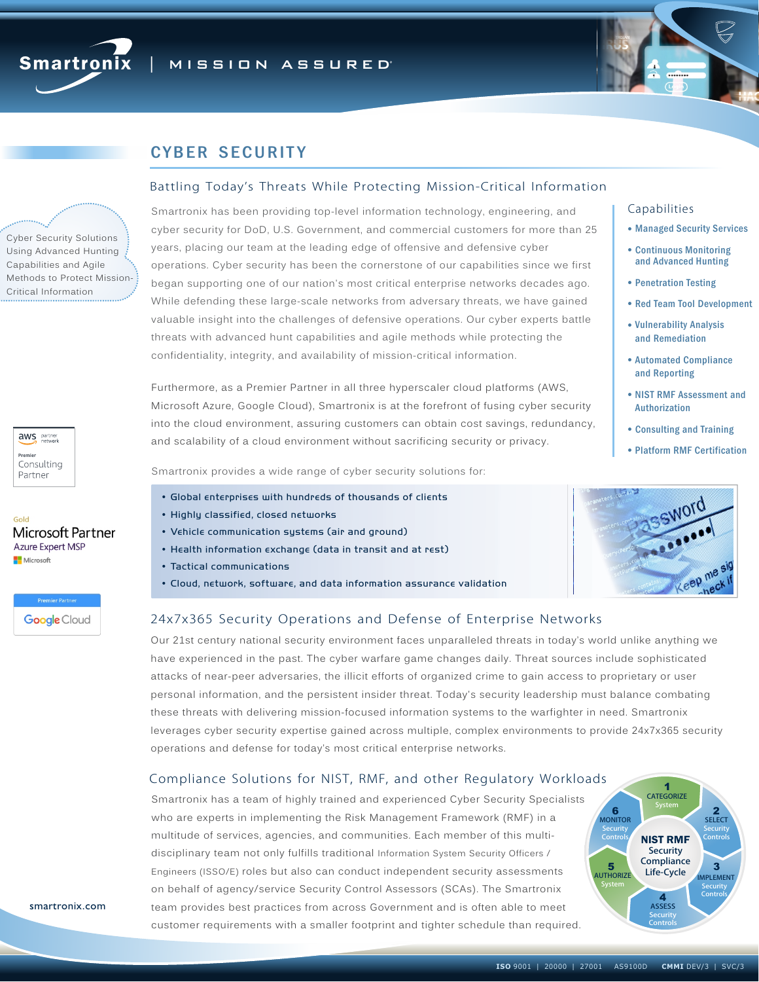



# **CYBER SECURITY**

## Battling Today's Threats While Protecting Mission-Critical Information

Smartronix has been providing top-level information technology, engineering, and cyber security for DoD, U.S. Government, and commercial customers for more than 25 years, placing our team at the leading edge of offensive and defensive cyber operations. Cyber security has been the cornerstone of our capabilities since we first began supporting one of our nation's most critical enterprise networks decades ago. While defending these large-scale networks from adversary threats, we have gained valuable insight into the challenges of defensive operations. Our cyber experts battle threats with advanced hunt capabilities and agile methods while protecting the confidentiality, integrity, and availability of mission-critical information.

Furthermore, as a Premier Partner in all three hyperscaler cloud platforms (AWS, Microsoft Azure, Google Cloud), Smartronix is at the forefront of fusing cyber security into the cloud environment, assuring customers can obtain cost savings, redundancy, and scalability of a cloud environment without sacrificing security or privacy.

Smartronix provides a wide range of cyber security solutions for:

- Global enterprises with hundreds of thousands of clients
- Highly classified, closed networks
- Vehicle communication systems (air and ground)
- Health information exchange (data in transit and at rest)
- Tactical communications
- Cloud, network, software, and data information assurance validation

#### Capabilities

- **. Managed Security Services**
- **Continuous Monitoring** and Advanced Hunting
- **Penetration Testing**
- Red Team Tool Development
- Vulnerability Analysis and Remediation
- ! Automated Compliance and Reporting
- ! NIST RMF Assessment and Authorization
- ! Consulting and Training
- ! Platform RMF Certification



## 24x7x365 Security Operations and Defense of Enterprise Networks

Our 21st century national security environment faces unparalleled threats in today's world unlike anything we have experienced in the past. The cyber warfare game changes daily. Threat sources include sophisticated attacks of near-peer adversaries, the illicit efforts of organized crime to gain access to proprietary or user personal information, and the persistent insider threat. Today's security leadership must balance combating these threats with delivering mission-focused information systems to the warfighter in need. Smartronix leverages cyber security expertise gained across multiple, complex environments to provide 24x7x365 security operations and defense for today's most critical enterprise networks.

## Compliance Solutions for NIST, RMF, and other Regulatory Workloads

Smartronix has a team of highly trained and experienced Cyber Security Specialists who are experts in implementing the Risk Management Framework (RMF) in a multitude of services, agencies, and communities. Each member of this multidisciplinary team not only fulfills traditional Information System Security Officers / Engineers (ISSO/E) roles but also can conduct independent security assessments on behalf of agency/service Security Control Assessors (SCAs). The Smartronix team provides best practices from across Government and is often able to meet customer requirements with a smaller footprint and tighter schedule than required.

smartronix.com

Cyber Security Solutions Using Advanced Hunting Capabilities and Agile Methods to Protect Mission-Critical Information

aws partner Premie Consulting Partner

Microsoft Partner **Azure Expert MSP Nicrosoft** 

> **Premier Partner Google** Cloud

Gold

4<br>ASSESS **Security Controls** 

AUTHORIZE Life-Cycle



CATEGORIZE System

1

**Security Compliance** 

NIST RMF

**2**<br>SELECT **Security** Controls

**MPLEMENT Security** Controls

3

6<br>MONITOR **Security** Controls

System

5